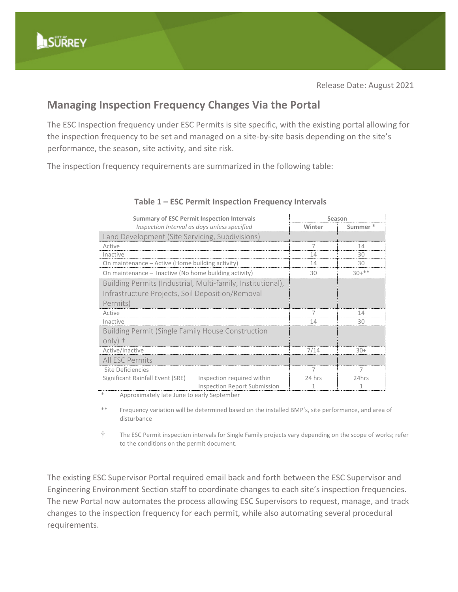## **Managing Inspection Frequency Changes Via the Portal**

The ESC Inspection frequency under ESC Permits is site specific, with the existing portal allowing for the inspection frequency to be set and managed on a site-by-site basis depending on the site's performance, the season, site activity, and site risk.

The inspection frequency requirements are summarized in the following table:

| <b>Summary of ESC Permit Inspection Intervals</b>           |                                     | Season   |         |
|-------------------------------------------------------------|-------------------------------------|----------|---------|
| Inspection Interval as days unless specified                |                                     | Winter   | Summer  |
| Land Development (Site Servicing, Subdivisions)             |                                     |          |         |
| Active                                                      |                                     |          | 14      |
| Inactive                                                    |                                     | 14       | 30      |
| On maintenance – Active (Home building activity)            |                                     | 14       | 30      |
| On maintenance - Inactive (No home building activity)       |                                     | 30       | $30+**$ |
| Building Permits (Industrial, Multi-family, Institutional), |                                     |          |         |
| Infrastructure Projects, Soil Deposition/Removal            |                                     |          |         |
| Permits)                                                    |                                     |          |         |
| Active                                                      |                                     | $\prime$ | 14      |
| Inactive                                                    |                                     | 14       | 30      |
| <b>Building Permit (Single Family House Construction</b>    |                                     |          |         |
| $only)$ +                                                   |                                     |          |         |
| Active/Inactive                                             |                                     | 7/14     | $30+$   |
| All ESC Permits                                             |                                     |          |         |
| Site Deficiencies                                           |                                     |          |         |
| Significant Rainfall Event (SRE)                            | Inspection required within          | 24 hrs   | 24hrs   |
|                                                             | <b>Inspection Report Submission</b> |          |         |

## **Table 1 – ESC Permit Inspection Frequency Intervals**

Approximately late June to early September

Frequency variation will be determined based on the installed BMP's, site performance, and area of disturbance

† The ESC Permit inspection intervals for Single Family projects vary depending on the scope of works; refer to the conditions on the permit document.

The existing ESC Supervisor Portal required email back and forth between the ESC Supervisor and Engineering Environment Section staff to coordinate changes to each site's inspection frequencies. The new Portal now automates the process allowing ESC Supervisors to request, manage, and track changes to the inspection frequency for each permit, while also automating several procedural requirements.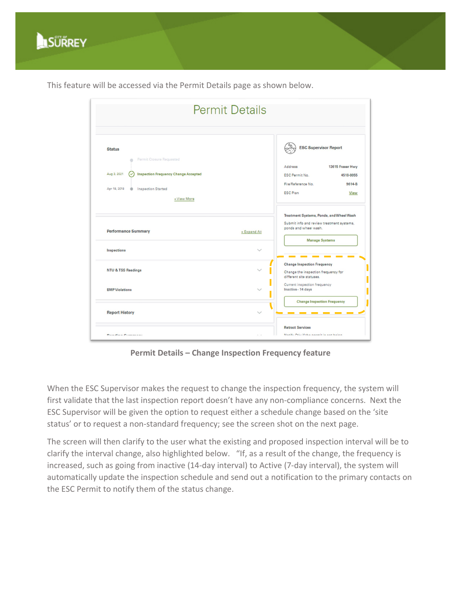

This feature will be accessed via the Permit Details page as shown below.

| <b>Permit Details</b>                                                                                                                                              |                                                                                                                                                         |
|--------------------------------------------------------------------------------------------------------------------------------------------------------------------|---------------------------------------------------------------------------------------------------------------------------------------------------------|
| <b>Status</b><br>Permit Closure Requested<br>Aug 3, 2021<br><b>Inspection Frequency Change Accepted</b><br>Apr 18, 2018<br><b>Inspection Started</b><br>+View More | <b>ESC Supervisor Report</b><br>13615 Fraser Hwy<br>Address<br>ESC Permit No.<br>4518-0055<br>File/Reference No.<br>9614-B<br><b>ESC Plan</b><br>View   |
| <b>Performance Summary</b>                                                                                                                                         | Treatment Systems, Ponds, and Wheel Wash<br>Submit info and review treatment systems,<br>ponds and wheel wash.<br>+ Expand All<br><b>Manage Systems</b> |
| Inspections<br><b>NTU &amp; TSS Readings</b>                                                                                                                       | <b>Change Inspection Frequency</b><br>Change the inspection frequency for<br>different site statuses.                                                   |
| <b>BMP</b> Violations                                                                                                                                              | Current inspection frequency<br>Inactive - 14 days<br><b>Change Inspection Frequency</b>                                                                |
| <b>Report History</b>                                                                                                                                              | <b>Retract Services</b>                                                                                                                                 |
| Dandina Primarant                                                                                                                                                  | Matiful Chiu if the nermit is not hains                                                                                                                 |

**Permit Details – Change Inspection Frequency feature**

When the ESC Supervisor makes the request to change the inspection frequency, the system will first validate that the last inspection report doesn't have any non-compliance concerns. Next the ESC Supervisor will be given the option to request either a schedule change based on the 'site status' or to request a non-standard frequency; see the screen shot on the next page.

The screen will then clarify to the user what the existing and proposed inspection interval will be to clarify the interval change, also highlighted below. "If, as a result of the change, the frequency is increased, such as going from inactive (14-day interval) to Active (7-day interval), the system will automatically update the inspection schedule and send out a notification to the primary contacts on the ESC Permit to notify them of the status change.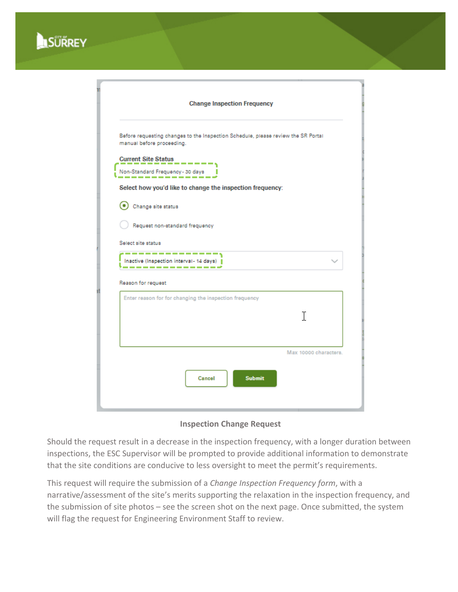

| <b>Change Inspection Frequency</b>                             |                                                                                   |  |
|----------------------------------------------------------------|-----------------------------------------------------------------------------------|--|
| manual before proceeding.                                      | Before requesting changes to the Inspection Schedule, please review the SR Portal |  |
| <b>Current Site Status</b><br>Non-Standard Frequency - 30 days | $\sim$ 100 $\sim$ 100 $\sim$ 100 $\sim$                                           |  |
| Change site status                                             | Select how you'd like to change the inspection frequency:                         |  |
| Select site status                                             | Request non-standard frequency<br>--------------                                  |  |
|                                                                | Inactive (Inspection interval- 14 days)                                           |  |
|                                                                | Enter reason for for changing the inspection frequency                            |  |
|                                                                | T                                                                                 |  |
| Reason for request                                             | Max 10000 characters.                                                             |  |

**Inspection Change Request** 

Should the request result in a decrease in the inspection frequency, with a longer duration between inspections, the ESC Supervisor will be prompted to provide additional information to demonstrate that the site conditions are conducive to less oversight to meet the permit's requirements.

This request will require the submission of a *Change Inspection Frequency form*, with a narrative/assessment of the site's merits supporting the relaxation in the inspection frequency, and the submission of site photos – see the screen shot on the next page. Once submitted, the system will flag the request for Engineering Environment Staff to review.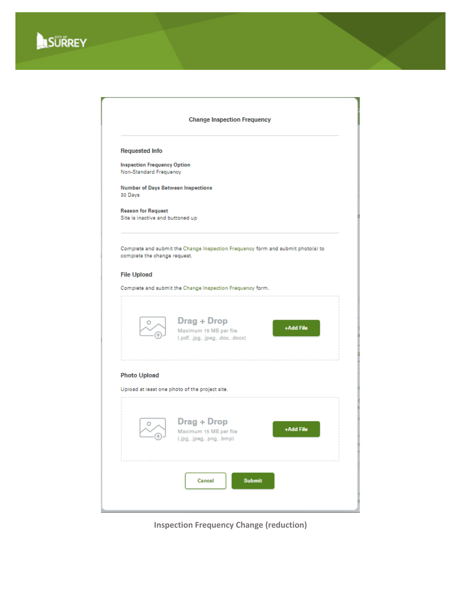



**Inspection Frequency Change (reduction)**